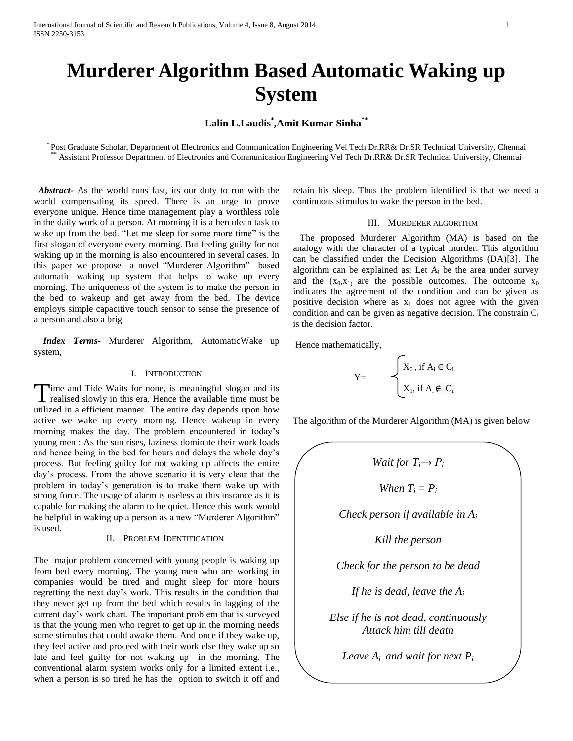# **Murderer Algorithm Based Automatic Waking up System**

## **Lalin L.Laudis\* ,Amit Kumar Sinha\*\***

\* Post Graduate Scholar, Department of Electronics and Communication Engineering Vel Tech Dr.RR& Dr.SR Technical University, Chennai Assistant Professor Department of Electronics and Communication Engineering Vel Tech Dr.RR& Dr.SR Technical University, Chennai

 *Abstract***-** As the world runs fast, its our duty to run with the world compensating its speed. There is an urge to prove everyone unique. Hence time management play a worthless role in the daily work of a person. At morning it is a herculean task to wake up from the bed. "Let me sleep for some more time" is the first slogan of everyone every morning. But feeling guilty for not waking up in the morning is also encountered in several cases. In this paper we propose a novel "Murderer Algorithm" based automatic waking up system that helps to wake up every morning. The uniqueness of the system is to make the person in the bed to wakeup and get away from the bed. The device employs simple capacitive touch sensor to sense the presence of a person and also a brig

 *Index Terms*- Murderer Algorithm, AutomaticWake up system,

## I. INTRODUCTION

**T**ime and Tide Waits for none, is meaningful slogan and its Time and Tide Waits for none, is meaningful slogan and its realised slowly in this era. Hence the available time must be utilized in a efficient manner. The entire day depends upon how active we wake up every morning. Hence wakeup in every morning makes the day. The problem encountered in today's young men : As the sun rises, laziness dominate their work loads and hence being in the bed for hours and delays the whole day's process. But feeling guilty for not waking up affects the entire day's process. From the above scenario it is very clear that the problem in today's generation is to make them wake up with strong force. The usage of alarm is useless at this instance as it is capable for making the alarm to be quiet. Hence this work would be helpful in waking up a person as a new "Murderer Algorithm" is used.

## II. PROBLEM IDENTIFICATION

The major problem concerned with young people is waking up from bed every morning. The young men who are working in companies would be tired and might sleep for more hours regretting the next day's work. This results in the condition that they never get up from the bed which results in lagging of the current day's work chart. The important problem that is surveyed is that the young men who regret to get up in the morning needs some stimulus that could awake them. And once if they wake up, they feel active and proceed with their work else they wake up so late and feel guilty for not waking up in the morning. The conventional alarm system works only for a limited extent i.e., when a person is so tired he has the option to switch it off and

retain his sleep. Thus the problem identified is that we need a continuous stimulus to wake the person in the bed.

## III. MURDERER ALGORITHM

 The proposed Murderer Algorithm (MA) is based on the analogy with the character of a typical murder. This algorithm can be classified under the Decision Algorithms (DA)[3]. The algorithm can be explained as: Let  $A_i$  be the area under survey and the  $(x_0, x_1)$  are the possible outcomes. The outcome  $x_0$ indicates the agreement of the condition and can be given as positive decision where as  $x_1$  does not agree with the given condition and can be given as negative decision. The constrain  $C_i$ is the decision factor.

Hence mathematically,

$$
Y = \begin{cases} X_0, \text{ if } A_i \in C_i, \\ X_1, \text{ if } A_i \notin C_i. \end{cases}
$$

The algorithm of the Murderer Algorithm (MA) is given below

$$
Wait for T_i \rightarrow P_i
$$
\n
$$
When T_i = P_i
$$
\n
$$
Check person if available in A_i
$$
\n
$$
Kill the person
$$
\n
$$
Check for the person to be dead
$$
\n
$$
If he is dead, leave the A_i
$$
\n
$$
Else if he is not dead, continuously
$$
\n
$$
Attack him till death
$$
\n
$$
Leave A_i and wait for next P_i
$$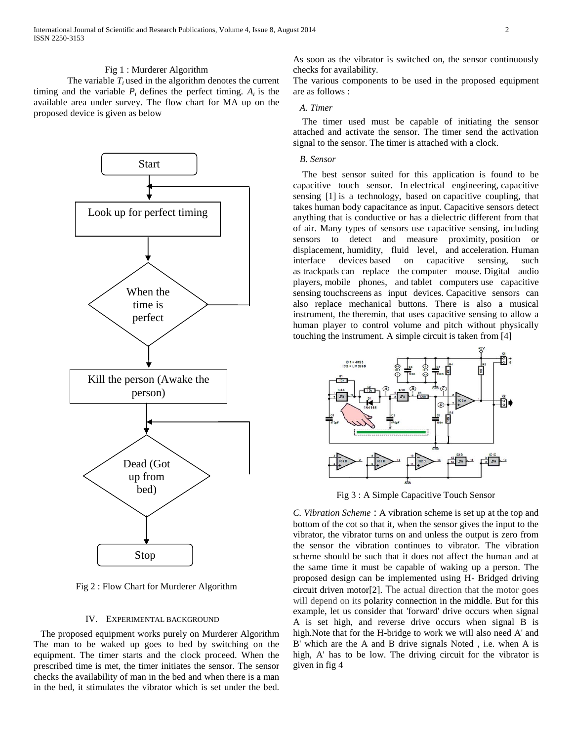## Fig 1 : Murderer Algorithm

The variable  $T_i$  used in the algorithm denotes the current timing and the variable  $P_i$  defines the perfect timing.  $A_i$  is the available area under survey. The flow chart for MA up on the proposed device is given as below



Fig 2 : Flow Chart for Murderer Algorithm

## IV. EXPERIMENTAL BACKGROUND

 The proposed equipment works purely on Murderer Algorithm The man to be waked up goes to bed by switching on the equipment. The timer starts and the clock proceed. When the prescribed time is met, the timer initiates the sensor. The sensor checks the availability of man in the bed and when there is a man in the bed, it stimulates the vibrator which is set under the bed. As soon as the vibrator is switched on, the sensor continuously checks for availability.

The various components to be used in the proposed equipment are as follows :

## *A. Timer*

 The timer used must be capable of initiating the sensor attached and activate the sensor. The timer send the activation signal to the sensor. The timer is attached with a clock.

## *B. Sensor*

 The best sensor suited for this application is found to be capacitive touch sensor. In electrical engineering, capacitive sensing [1] is a technology, based on [capacitive coupling,](http://en.wikipedia.org/wiki/Capacitive_coupling) that takes human [body capacitance](http://en.wikipedia.org/wiki/Body_capacitance) as input. Capacitive sensors detect anything that is conductive or has a [dielectric](http://en.wikipedia.org/wiki/Dielectric) different from that of air. Many types of sensors use capacitive sensing, including sensors to detect and measure proximity, [position or](http://en.wikipedia.org/wiki/Capacitive_displacement_sensor)  [displacement,](http://en.wikipedia.org/wiki/Capacitive_displacement_sensor) [humidity,](http://en.wikipedia.org/wiki/Hygrometer) fluid level, and [acceleration.](http://en.wikipedia.org/wiki/Accelerometer) [Human](http://en.wikipedia.org/wiki/Human_interface_device)  [interface devices](http://en.wikipedia.org/wiki/Human_interface_device) based on capacitive sensing, such as [trackpads](http://en.wikipedia.org/wiki/Trackpad) can replace the [computer mouse.](http://en.wikipedia.org/wiki/Mouse_(computing)) [Digital audio](http://en.wikipedia.org/wiki/Digital_audio_player)  [players,](http://en.wikipedia.org/wiki/Digital_audio_player) [mobile phones,](http://en.wikipedia.org/wiki/Mobile_phone) and [tablet computers](http://en.wikipedia.org/wiki/Tablet_computer) use capacitive sensing [touchscreens](http://en.wikipedia.org/wiki/Touchscreen) as input devices. Capacitive sensors can also replace mechanical buttons. There is also a musical instrument, the [theremin,](http://en.wikipedia.org/wiki/Theremin) that uses capacitive sensing to allow a human player to control volume and pitch without physically touching the instrument. A simple circuit is taken from [4]



Fig 3 : A Simple Capacitive Touch Sensor

*C. Vibration Scheme* : A vibration scheme is set up at the top and bottom of the cot so that it, when the sensor gives the input to the vibrator, the vibrator turns on and unless the output is zero from the sensor the vibration continues to vibrator. The vibration scheme should be such that it does not affect the human and at the same time it must be capable of waking up a person. The proposed design can be implemented using H- Bridged driving circuit driven motor[2]. The actual direction that the motor goes will depend on its polarity connection in the middle. But for this example, let us consider that 'forward' drive occurs when signal A is set high, and reverse drive occurs when signal B is high.Note that for the H-bridge to work we will also need A' and B' which are the A and B drive signals Noted , i.e. when A is high, A' has to be low. The driving circuit for the vibrator is given in fig 4